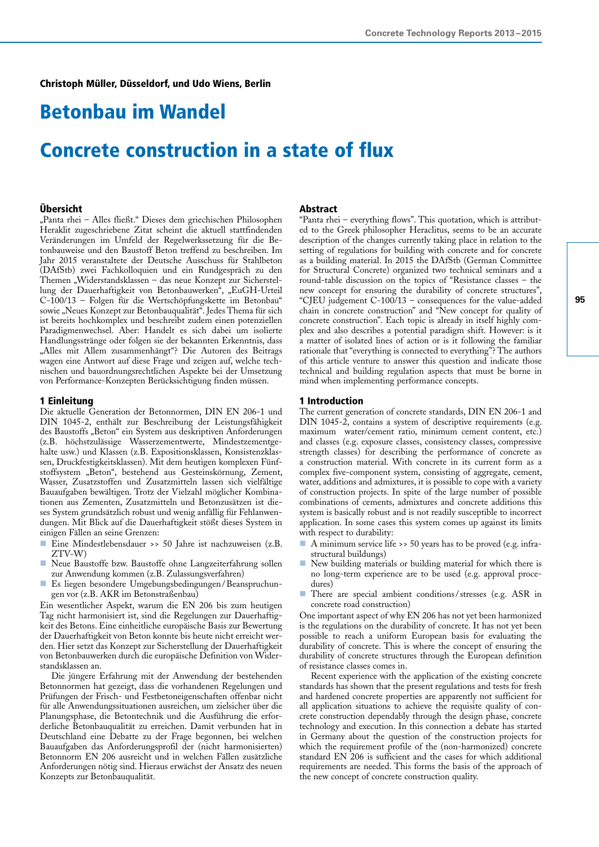# Betonbau im Wandel

# Concrete construction in a state of flux

### Übersicht

"Panta rhei – Alles fließt." Dieses dem griechischen Philosophen Heraklit zugeschriebene Zitat scheint die aktuell stattfindenden Veränderungen im Umfeld der Regelwerkssetzung für die Betonbauweise und den Baustoff Beton treffend zu beschreiben. Im Jahr 2015 veranstaltete der Deutsche Ausschuss für Stahlbeton (DAfStb) zwei Fachkolloquien und ein Rundgespräch zu den Themen "Widerstandsklassen – das neue Konzept zur Sicherstellung der Dauerhaftigkeit von Betonbauwerken", "EuGH-Urteil C-100/13 – Folgen für die Wertschöpfungskette im Betonbau" sowie "Neues Konzept zur Betonbauqualität". Jedes Thema für sich ist bereits hochkomplex und beschreibt zudem einen potenziellen Paradigmenwechsel. Aber: Handelt es sich dabei um isolierte Handlungsstränge oder folgen sie der bekannten Erkenntnis, dass "Alles mit Allem zusammenhängt"? Die Autoren des Beitrags wagen eine Antwort auf diese Frage und zeigen auf, welche technischen und bauordnungsrechtlichen Aspekte bei der Umsetzung von Performance-Konzepten Berücksichtigung finden müssen.

# 1 Einleitung

Die aktuelle Generation der Betonnormen, DIN EN 206-1 und DIN 1045-2, enthält zur Beschreibung der Leistungsfähigkeit des Baustoffs "Beton" ein System aus deskriptiven Anforderungen (z.B. höchstzulässige Wasserzementwerte, Mindestzementgehalte usw.) und Klassen (z.B. Expositionsklassen, Konsistenzklassen, Druckfestigkeitsklassen). Mit dem heutigen komplexen Fünfstoffsystem "Beton", bestehend aus Gesteinskörnung, Zement, Wasser, Zusatzstoffen und Zusatzmitteln lassen sich vielfältige Bauaufgaben bewältigen. Trotz der Vielzahl möglicher Kombinationen aus Zementen, Zusatzmitteln und Betonzusätzen ist dieses System grundsätzlich robust und wenig anfällig für Fehlanwendungen. Mit Blick auf die Dauerhaftigkeit stößt dieses System in einigen Fällen an seine Grenzen:

- Eine Mindestlebensdauer >> 50 Jahre ist nachzuweisen (z.B. ZTV-W)
- Neue Baustoffe bzw. Baustoffe ohne Langzeiterfahrung sollen zur Anwendung kommen (z.B. Zulassungsverfahren)
- Es liegen besondere Umgebungsbedingungen/Beanspruchungen vor (z.B. AKR im Betonstraßenbau)

Ein wesentlicher Aspekt, warum die EN 206 bis zum heutigen Tag nicht harmonisiert ist, sind die Regelungen zur Dauerhaftigkeit des Betons. Eine einheitliche europäische Basis zur Bewertung der Dauerhaftigkeit von Beton konnte bis heute nicht erreicht werden. Hier setzt das Konzept zur Sicherstellung der Dauerhaftigkeit von Betonbauwerken durch die europäische Definition von Widerstandsklassen an.

Die jüngere Erfahrung mit der Anwendung der bestehenden Betonnormen hat gezeigt, dass die vorhandenen Regelungen und Prüfungen der Frisch- und Festbetoneigenschaften offenbar nicht für alle Anwendungssituationen ausreichen, um zielsicher über die Planungsphase, die Betontechnik und die Ausführung die erforderliche Betonbauqualität zu erreichen. Damit verbunden hat in Deutschland eine Debatte zu der Frage begonnen, bei welchen Bauaufgaben das Anforderungsprofil der (nicht harmonisierten) Betonnorm EN 206 ausreicht und in welchen Fällen zusätzliche Anforderungen nötig sind. Hieraus erwächst der Ansatz des neuen Konzepts zur Betonbauqualität.

# Abstract

"Panta rhei – everything flows". This quotation, which is attributed to the Greek philosopher Heraclitus, seems to be an accurate description of the changes currently taking place in relation to the setting of regulations for building with concrete and for concrete as a building material. In 2015 the DAfStb (German Committee for Structural Concrete) organized two technical seminars and a round-table discussion on the topics of "Resistance classes – the new concept for ensuring the durability of concrete structures", "CJEU judgement C-100/13 – consequences for the value-added chain in concrete construction" and "New concept for quality of concrete construction". Each topic is already in itself highly complex and also describes a potential paradigm shift. However: is it a matter of isolated lines of action or is it following the familiar rationale that "everything is connected to everything"? The authors of this article venture to answer this question and indicate those technical and building regulation aspects that must be borne in mind when implementing performance concepts.

# 1 Introduction

The current generation of concrete standards, DIN EN 206-1 and DIN 1045-2, contains a system of descriptive requirements (e.g. maximum water/cement ratio, minimum cement content, etc.) and classes (e.g. exposure classes, consistency classes, compressive strength classes) for describing the performance of concrete as a construction material. With concrete in its current form as a complex five-component system, consisting of aggregate, cement, water, additions and admixtures, it is possible to cope with a variety of construction projects. In spite of the large number of possible combinations of cements, admixtures and concrete additions this system is basically robust and is not readily susceptible to incorrect application. In some cases this system comes up against its limits with respect to durability:

- A minimum service life >> 50 years has to be proved (e.g. infrastructural buildungs)
- New building materials or building material for which there is no long-term experience are to be used (e.g. approval procedures)
- There are special ambient conditions/stresses (e.g. ASR in concrete road construction)

One important aspect of why EN 206 has not yet been harmonized is the regulations on the durability of concrete. It has not yet been possible to reach a uniform European basis for evaluating the durability of concrete. This is where the concept of ensuring the durability of concrete structures through the European definition of resistance classes comes in.

Recent experience with the application of the existing concrete standards has shown that the present regulations and tests for fresh and hardened concrete properties are apparently not sufficient for all application situations to achieve the requisite quality of concrete construction dependably through the design phase, concrete technology and execution. In this connection a debate has started in Germany about the question of the construction projects for which the requirement profile of the (non-harmonized) concrete standard EN 206 is sufficient and the cases for which additional requirements are needed. This forms the basis of the approach of the new concept of concrete construction quality.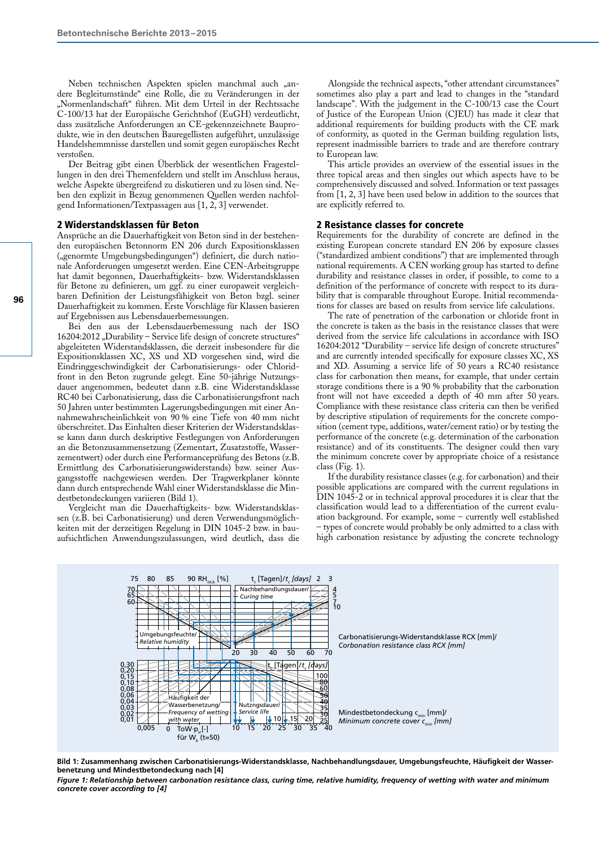Neben technischen Aspekten spielen manchmal auch "andere Begleitumstände" eine Rolle, die zu Veränderungen in der "Normenlandschaft" führen. Mit dem Urteil in der Rechtssache C-100/13 hat der Europäische Gerichtshof (EuGH) verdeutlicht, dass zusätzliche Anforderungen an CE-gekennzeichnete Bauprodukte, wie in den deutschen Bauregellisten aufgeführt, unzulässige Handelshemmnisse darstellen und somit gegen europäisches Recht verstoßen.

Der Beitrag gibt einen Überblick der wesentlichen Fragestellungen in den drei Themenfeldern und stellt im Anschluss heraus, welche Aspekte übergreifend zu diskutieren und zu lösen sind. Neben den explizit in Bezug genommenen Quellen werden nachfolgend Informationen/Textpassagen aus [1, 2, 3] verwendet.

#### 2 Widerstandsklassen für Beton

Ansprüche an die Dauerhaftigkeit von Beton sind in der bestehenden europäischen Betonnorm EN 206 durch Expositionsklassen ("genormte Umgebungsbedingungen") definiert, die durch nationale Anforderungen umgesetzt werden. Eine CEN-Arbeitsgruppe hat damit begonnen, Dauerhaftigkeits- bzw. Widerstandsklassen für Betone zu definieren, um ggf. zu einer europaweit vergleichbaren Definition der Leistungsfähigkeit von Beton bzgl. seiner Dauerhaftigkeit zu kommen. Erste Vorschläge für Klassen basieren auf Ergebnissen aus Lebensdauerbemessungen.

Bei den aus der Lebensdauerbemessung nach der ISO  $16204:2012$  "Durability – Service life design of concrete structures" abgeleiteten Widerstandsklassen, die derzeit insbesondere für die Expositionsklassen XC, XS und XD vorgesehen sind, wird die Eindringgeschwindigkeit der Carbonatisierungs- oder Chloridfront in den Beton zugrunde gelegt. Eine 50-jährige Nutzungsdauer angenommen, bedeutet dann z.B. eine Widerstandsklasse RC40 bei Carbonatisierung, dass die Carbonatisierungsfront nach 50 Jahren unter bestimmten Lagerungsbedingungen mit einer Annahmewahrscheinlichkeit von 90 % eine Tiefe von 40 mm nicht überschreitet. Das Einhalten dieser Kriterien der Widerstandsklasse kann dann durch deskriptive Festlegungen von Anforderungen an die Betonzusammensetzung (Zementart, Zusatzstoffe, Wasserzementwert) oder durch eine Performanceprüfung des Betons (z.B. Ermittlung des Carbonatisierungswiderstands) bzw. seiner Ausgangsstoffe nachgewiesen werden. Der Tragwerkplaner könnte dann durch entsprechende Wahl einer Widerstandsklasse die Mindestbetondeckungen variieren (Bild 1).

Vergleicht man die Dauerhaftigkeits- bzw. Widerstandsklassen (z.B. bei Carbonatisierung) und deren Verwendungsmöglichkeiten mit der derzeitigen Regelung in DIN 1045-2 bzw. in bauaufsichtlichen Anwendungszulassungen, wird deutlich, dass die

Alongside the technical aspects, "other attendant circumstances" sometimes also play a part and lead to changes in the "standard landscape". With the judgement in the C-100/13 case the Court of Justice of the European Union (CJEU) has made it clear that additional requirements for building products with the CE mark of conformity, as quoted in the German building regulation lists, represent inadmissible barriers to trade and are therefore contrary to European law.

This article provides an overview of the essential issues in the three topical areas and then singles out which aspects have to be comprehensively discussed and solved. Information or text passages from [1, 2, 3] have been used below in addition to the sources that are explicitly referred to.

#### 2 Resistance classes for concrete

Requirements for the durability of concrete are defined in the existing European concrete standard EN 206 by exposure classes ("standardized ambient conditions") that are implemented through national requirements. A CEN working group has started to define durability and resistance classes in order, if possible, to come to a definition of the performance of concrete with respect to its durability that is comparable throughout Europe. Initial recommendations for classes are based on results from service life calculations.

The rate of penetration of the carbonation or chloride front in the concrete is taken as the basis in the resistance classes that were derived from the service life calculations in accordance with ISO 16204:2012 "Durability – service life design of concrete structures" and are currently intended specifically for exposure classes XC, XS and XD. Assuming a service life of 50 years a RC40 resistance class for carbonation then means, for example, that under certain storage conditions there is a 90 % probability that the carbonation front will not have exceeded a depth of 40 mm after 50 years. Compliance with these resistance class criteria can then be verified by descriptive stipulation of requirements for the concrete composition (cement type, additions, water/cement ratio) or by testing the performance of the concrete (e.g. determination of the carbonation resistance) and of its constituents. The designer could then vary the minimum concrete cover by appropriate choice of a resistance class (Fig. 1).

If the durability resistance classes (e.g. for carbonation) and their possible applications are compared with the current regulations in DIN 1045-2 or in technical approval procedures it is clear that the classification would lead to a differentiation of the current evaluation background. For example, some – currently well established – types of concrete would probably be only admitted to a class with high carbonation resistance by adjusting the concrete technology



**Bild 1: Zusammenhang zwischen Carbonatisierungs-Widerstandsklasse, Nachbehandlungsdauer, Umgebungsfeuchte, Häufigkeit der Wasserbenetzung und Mindestbetondeckung nach [4]**

*Figure 1: Relationship between carbonation resistance class, curing time, relative humidity, frequency of wetting with water and minimum concrete cover according to [4]*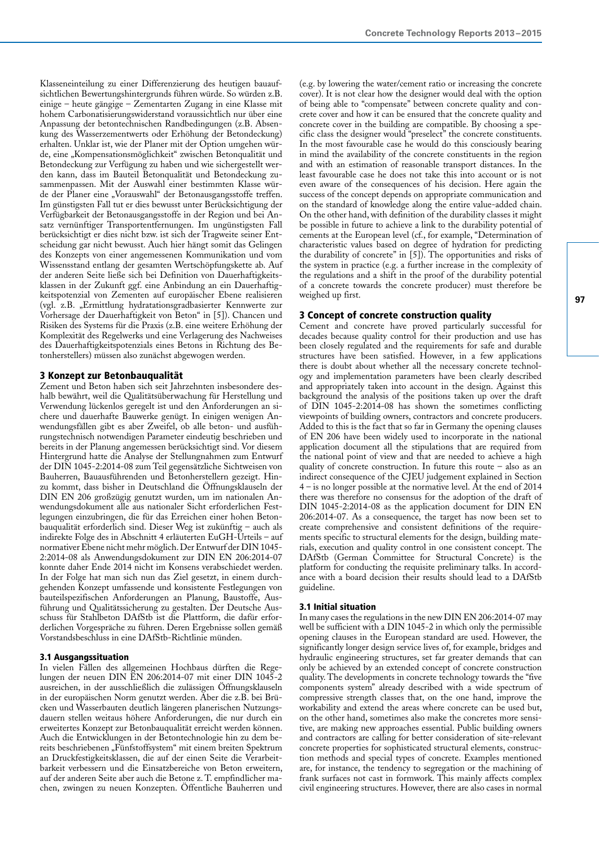Klasseneinteilung zu einer Differenzierung des heutigen bauaufsichtlichen Bewertungshintergrunds führen würde. So würden z.B. einige – heute gängige – Zementarten Zugang in eine Klasse mit hohem Carbonatisierungswiderstand voraussichtlich nur über eine Anpassung der betontechnischen Randbedingungen (z.B. Absenkung des Wasserzementwerts oder Erhöhung der Betondeckung) erhalten. Unklar ist, wie der Planer mit der Option umgehen würde, eine "Kompensationsmöglichkeit" zwischen Betonqualität und Betondeckung zur Verfügung zu haben und wie sichergestellt werden kann, dass im Bauteil Betonqualität und Betondeckung zusammenpassen. Mit der Auswahl einer bestimmten Klasse würde der Planer eine "Vorauswahl" der Betonausgangsstoffe treffen. Im günstigsten Fall tut er dies bewusst unter Berücksichtigung der Verfügbarkeit der Betonausgangsstoffe in der Region und bei Ansatz vernünftiger Transportentfernungen. Im ungünstigsten Fall berücksichtigt er dies nicht bzw. ist sich der Tragweite seiner Entscheidung gar nicht bewusst. Auch hier hängt somit das Gelingen des Konzepts von einer angemessenen Kommunikation und vom Wissensstand entlang der gesamten Wertschöpfungskette ab. Auf der anderen Seite ließe sich bei Definition von Dauerhaftigkeitsklassen in der Zukunft ggf. eine Anbindung an ein Dauerhaftigkeitspotenzial von Zementen auf europäischer Ebene realisieren (vgl. z.B. "Ermittlung hydratationsgradbasierter Kennwerte zur Vorhersage der Dauerhaftigkeit von Beton" in [5]). Chancen und Risiken des Systems für die Praxis (z.B. eine weitere Erhöhung der Komplexität des Regelwerks und eine Verlagerung des Nachweises des Dauerhaftigkeitspotenzials eines Betons in Richtung des Betonherstellers) müssen also zunächst abgewogen werden.

### 3 Konzept zur Betonbauqualität

Zement und Beton haben sich seit Jahrzehnten insbesondere deshalb bewährt, weil die Qualitätsüberwachung für Herstellung und Verwendung lückenlos geregelt ist und den Anforderungen an sichere und dauerhafte Bauwerke genügt. In einigen wenigen Anwendungsfällen gibt es aber Zweifel, ob alle beton- und ausführungstechnisch notwendigen Parameter eindeutig beschrieben und bereits in der Planung angemessen berücksichtigt sind. Vor diesem Hintergrund hatte die Analyse der Stellungnahmen zum Entwurf der DIN 1045-2:2014-08 zum Teil gegensätzliche Sichtweisen von Bauherren, Bauausführenden und Betonherstellern gezeigt. Hinzu kommt, dass bisher in Deutschland die Öffnungsklauseln der DIN EN 206 großzügig genutzt wurden, um im nationalen Anwendungsdokument alle aus nationaler Sicht erforderlichen Festlegungen einzubringen, die für das Erreichen einer hohen Betonbauqualität erforderlich sind. Dieser Weg ist zukünftig – auch als indirekte Folge des in Abschnitt 4 erläuterten EuGH-Urteils – auf normativer Ebene nicht mehr möglich. Der Entwurf der DIN 1045- 2:2014-08 als Anwendungsdokument zur DIN EN 206:2014-07 konnte daher Ende 2014 nicht im Konsens verabschiedet werden. In der Folge hat man sich nun das Ziel gesetzt, in einem durchgehenden Konzept umfassende und konsistente Festlegungen von bauteilspezifischen Anforderungen an Planung, Baustoffe, Ausführung und Qualitätssicherung zu gestalten. Der Deutsche Ausschuss für Stahlbeton DAfStb ist die Plattform, die dafür erforderlichen Vorgespräche zu führen. Deren Ergebnisse sollen gemäß Vorstandsbeschluss in eine DAfStb-Richtlinie münden.

#### 3.1 Ausgangssituation

In vielen Fällen des allgemeinen Hochbaus dürften die Regelungen der neuen DIN EN 206:2014-07 mit einer DIN 1045-2 ausreichen, in der ausschließlich die zulässigen Öffnungsklauseln in der europäischen Norm genutzt werden. Aber die z.B. bei Brücken und Wasserbauten deutlich längeren planerischen Nutzungsdauern stellen weitaus höhere Anforderungen, die nur durch ein erweitertes Konzept zur Betonbauqualität erreicht werden können. Auch die Entwicklungen in der Betontechnologie hin zu dem bereits beschriebenen "Fünfstoffsystem" mit einem breiten Spektrum an Druckfestigkeitsklassen, die auf der einen Seite die Verarbeitbarkeit verbessern und die Einsatzbereiche von Beton erweitern, auf der anderen Seite aber auch die Betone z. T. empfindlicher machen, zwingen zu neuen Konzepten. Öffentliche Bauherren und

(e.g. by lowering the water/cement ratio or increasing the concrete cover). It is not clear how the designer would deal with the option of being able to "compensate" between concrete quality and concrete cover and how it can be ensured that the concrete quality and concrete cover in the building are compatible. By choosing a specific class the designer would "preselect" the concrete constituents. In the most favourable case he would do this consciously bearing in mind the availability of the concrete constituents in the region and with an estimation of reasonable transport distances. In the least favourable case he does not take this into account or is not even aware of the consequences of his decision. Here again the success of the concept depends on appropriate communication and on the standard of knowledge along the entire value-added chain. On the other hand, with definition of the durability classes it might be possible in future to achieve a link to the durability potential of cements at the European level (cf., for example, "Determination of characteristic values based on degree of hydration for predicting the durability of concrete" in [5]). The opportunities and risks of the system in practice (e.g. a further increase in the complexity of the regulations and a shift in the proof of the durability potential of a concrete towards the concrete producer) must therefore be weighed up first.

# 3 Concept of concrete construction quality

Cement and concrete have proved particularly successful for decades because quality control for their production and use has been closely regulated and the requirements for safe and durable structures have been satisfied. However, in a few applications there is doubt about whether all the necessary concrete technology and implementation parameters have been clearly described and appropriately taken into account in the design. Against this background the analysis of the positions taken up over the draft of DIN 1045-2:2014-08 has shown the sometimes conflicting viewpoints of building owners, contractors and concrete producers. Added to this is the fact that so far in Germany the opening clauses of EN 206 have been widely used to incorporate in the national application document all the stipulations that are required from the national point of view and that are needed to achieve a high quality of concrete construction. In future this route – also as an indirect consequence of the CJEU judgement explained in Section 4 – is no longer possible at the normative level. At the end of 2014 there was therefore no consensus for the adoption of the draft of DIN 1045-2:2014-08 as the application document for DIN EN 206:2014-07. As a consequence, the target has now been set to create comprehensive and consistent definitions of the requirements specific to structural elements for the design, building materials, execution and quality control in one consistent concept. The DAfStb (German Committee for Structural Concrete) is the platform for conducting the requisite preliminary talks. In accordance with a board decision their results should lead to a DAfStb guideline.

#### 3.1 Initial situation

In many cases the regulations in the new DIN EN 206:2014-07 may well be sufficient with a DIN 1045-2 in which only the permissible opening clauses in the European standard are used. However, the significantly longer design service lives of, for example, bridges and hydraulic engineering structures, set far greater demands that can only be achieved by an extended concept of concrete construction quality. The developments in concrete technology towards the "five components system" already described with a wide spectrum of compressive strength classes that, on the one hand, improve the workability and extend the areas where concrete can be used but, on the other hand, sometimes also make the concretes more sensitive, are making new approaches essential. Public building owners and contractors are calling for better consideration of site-relevant concrete properties for sophisticated structural elements, construction methods and special types of concrete. Examples mentioned are, for instance, the tendency to segregation or the machining of frank surfaces not cast in formwork. This mainly affects complex civil engineering structures. However, there are also cases in normal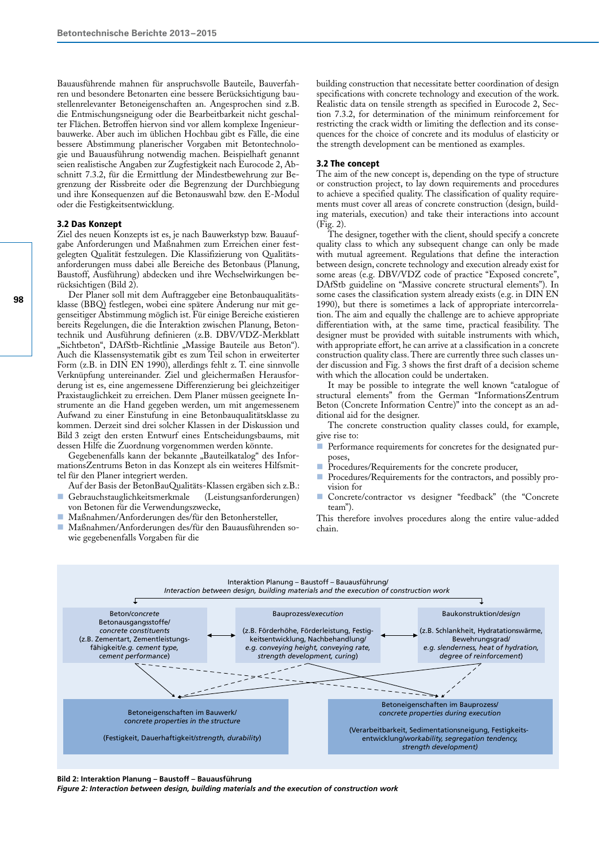Bauausführende mahnen für anspruchsvolle Bauteile, Bauverfahren und besondere Betonarten eine bessere Berücksichtigung baustellenrelevanter Betoneigenschaften an. Angesprochen sind z.B. die Entmischungsneigung oder die Bearbeitbarkeit nicht geschalter Flächen. Betroffen hiervon sind vor allem komplexe Ingenieurbauwerke. Aber auch im üblichen Hochbau gibt es Fälle, die eine bessere Abstimmung planerischer Vorgaben mit Betontechnologie und Bauausführung notwendig machen. Beispielhaft genannt seien realistische Angaben zur Zugfestigkeit nach Eurocode 2, Abschnitt 7.3.2, für die Ermittlung der Mindestbewehrung zur Begrenzung der Rissbreite oder die Begrenzung der Durchbiegung und ihre Konsequenzen auf die Betonauswahl bzw. den E-Modul oder die Festigkeitsentwicklung.

#### 3.2 Das Konzept

Ziel des neuen Konzepts ist es, je nach Bauwerkstyp bzw. Bauaufgabe Anforderungen und Maßnahmen zum Erreichen einer festgelegten Qualität festzulegen. Die Klassifizierung von Qualitätsanforderungen muss dabei alle Bereiche des Betonbaus (Planung, Baustoff, Ausführung) abdecken und ihre Wechselwirkungen berücksichtigen (Bild 2).

Der Planer soll mit dem Auftraggeber eine Betonbauqualitätsklasse (BBQ) festlegen, wobei eine spätere Änderung nur mit gegenseitiger Abstimmung möglich ist. Für einige Bereiche existieren bereits Regelungen, die die Interaktion zwischen Planung, Betontechnik und Ausführung definieren (z.B. DBV/VDZ-Merkblatt "Sichtbeton", DAfStb-Richtlinie "Massige Bauteile aus Beton"). Auch die Klassensystematik gibt es zum Teil schon in erweiterter Form (z.B. in DIN EN 1990), allerdings fehlt z. T. eine sinnvolle Verknüpfung untereinander. Ziel und gleichermaßen Herausforderung ist es, eine angemessene Differenzierung bei gleichzeitiger Praxistauglichkeit zu erreichen. Dem Planer müssen geeignete Instrumente an die Hand gegeben werden, um mit angemessenem Aufwand zu einer Einstufung in eine Betonbauqualitätsklasse zu kommen. Derzeit sind drei solcher Klassen in der Diskussion und Bild 3 zeigt den ersten Entwurf eines Entscheidungsbaums, mit dessen Hilfe die Zuordnung vorgenommen werden könnte.

Gegebenenfalls kann der bekannte "Bauteilkatalog" des InformationsZentrums Beton in das Konzept als ein weiteres Hilfsmittel für den Planer integriert werden.

Auf der Basis der BetonBauQualitäts-Klassen ergäben sich z.B.:

- Gebrauchstauglichkeitsmerkmale (Leistungsanforderungen) von Betonen für die Verwendungszwecke,
- Maßnahmen/Anforderungen des/für den Betonhersteller,
- Maßnahmen/Anforderungen des/für den Bauausführenden sowie gegebenenfalls Vorgaben für die

building construction that necessitate better coordination of design specifications with concrete technology and execution of the work. Realistic data on tensile strength as specified in Eurocode 2, Section 7.3.2, for determination of the minimum reinforcement for restricting the crack width or limiting the deflection and its consequences for the choice of concrete and its modulus of elasticity or the strength development can be mentioned as examples.

#### 3.2 The concept

The aim of the new concept is, depending on the type of structure or construction project, to lay down requirements and procedures to achieve a specified quality. The classification of quality requirements must cover all areas of concrete construction (design, building materials, execution) and take their interactions into account (Fig. 2).

The designer, together with the client, should specify a concrete quality class to which any subsequent change can only be made with mutual agreement. Regulations that define the interaction between design, concrete technology and execution already exist for some areas (e.g. DBV/VDZ code of practice "Exposed concrete", DAfStb guideline on "Massive concrete structural elements"). In some cases the classification system already exists (e.g. in DIN EN 1990), but there is sometimes a lack of appropriate intercorrelation. The aim and equally the challenge are to achieve appropriate differentiation with, at the same time, practical feasibility. The designer must be provided with suitable instruments with which, with appropriate effort, he can arrive at a classification in a concrete construction quality class. There are currently three such classes under discussion and Fig. 3 shows the first draft of a decision scheme with which the allocation could be undertaken.

It may be possible to integrate the well known "catalogue of structural elements" from the German "InformationsZentrum Beton (Concrete Information Centre)" into the concept as an additional aid for the designer.

The concrete construction quality classes could, for example, give rise to:

- Performance requirements for concretes for the designated purposes,
- Procedures/Requirements for the concrete producer,
- Procedures/Requirements for the contractors, and possibly provision for
- Concrete/contractor vs designer "feedback" (the "Concrete team").

This therefore involves procedures along the entire value-added chain.



*Figure 2: Interaction between design, building materials and the execution of construction work*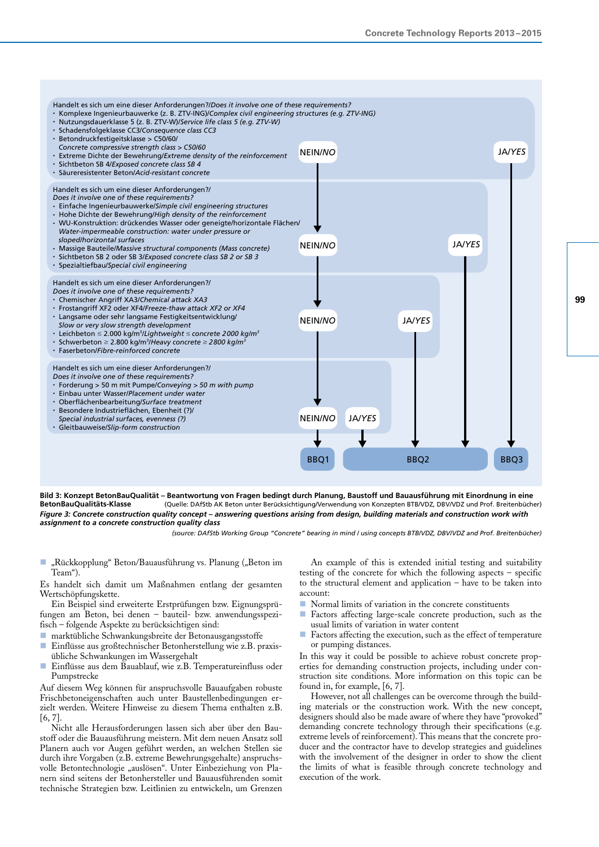

**Bild 3: Konzept BetonBauQualität – Beantwortung von Fragen bedingt durch Planung, Baustoff und Bauausführung mit Einordnung in eine BetonBauQualitäts-Klasse** (Quelle: DAfStb AK Beton unter Berücksichtigung/Verwendung von Konzepten BTB/VDZ, DBV/VDZ und Prof. Breitenbücher) *Figure 3: Concrete construction quality concept – answering questions arising from design, building materials and construction work with assignment to a concrete construction quality class*

*(source: DAfStb Working Group "Concrete" bearing in mind / using concepts BTB/VDZ, DBV/VDZ and Prof. Breitenbücher)*

- "Rückkopplung" Beton/Bauausführung vs. Planung ("Beton im Team").
- Es handelt sich damit um Maßnahmen entlang der gesamten Wertschöpfungskette.
- Ein Beispiel sind erweiterte Erstprüfungen bzw. Eignungsprüfungen am Beton, bei denen – bauteil- bzw. anwendungsspezifisch – folgende Aspekte zu berücksichtigen sind:
- marktübliche Schwankungsbreite der Betonausgangsstoffe
- $\blacksquare$  Einflüsse aus großtechnischer Betonherstellung wie z.B. praxisübliche Schwankungen im Wassergehalt
- Einflüsse aus dem Bauablauf, wie z.B. Temperatureinfluss oder Pumpstrecke

Auf diesem Weg können für anspruchsvolle Bauaufgaben robuste Frischbetoneigenschaften auch unter Baustellenbedingungen erzielt werden. Weitere Hinweise zu diesem Thema enthalten z.B.  $[6, 7]$ 

Nicht alle Herausforderungen lassen sich aber über den Baustoff oder die Bauausführung meistern. Mit dem neuen Ansatz soll Planern auch vor Augen geführt werden, an welchen Stellen sie durch ihre Vorgaben (z.B. extreme Bewehrungsgehalte) anspruchsvolle Betontechnologie "auslösen". Unter Einbeziehung von Planern sind seitens der Betonhersteller und Bauausführenden somit technische Strategien bzw. Leitlinien zu entwickeln, um Grenzen

An example of this is extended initial testing and suitability testing of the concrete for which the following aspects – specific to the structural element and application – have to be taken into account:

- Normal limits of variation in the concrete constituents
- Factors affecting large-scale concrete production, such as the usual limits of variation in water content
- $\blacksquare$  Factors affecting the execution, such as the effect of temperature or pumping distances.

In this way it could be possible to achieve robust concrete properties for demanding construction projects, including under construction site conditions. More information on this topic can be found in, for example, [6, 7].

However, not all challenges can be overcome through the building materials or the construction work. With the new concept, designers should also be made aware of where they have "provoked" demanding concrete technology through their specifications (e.g. extreme levels of reinforcement). This means that the concrete producer and the contractor have to develop strategies and guidelines with the involvement of the designer in order to show the client the limits of what is feasible through concrete technology and execution of the work.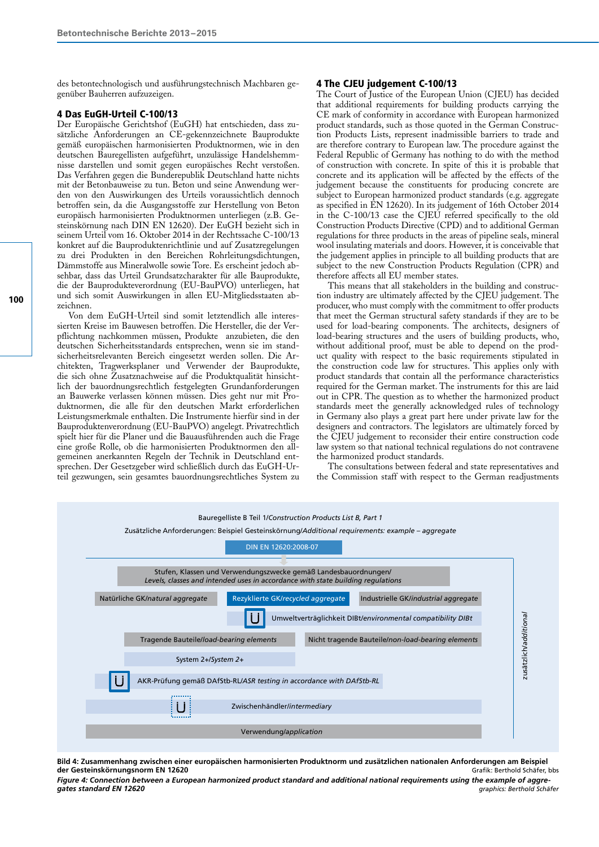des betontechnologisch und ausführungstechnisch Machbaren gegenüber Bauherren aufzuzeigen.

# 4 Das EuGH-Urteil C-100/13

Der Europäische Gerichtshof (EuGH) hat entschieden, dass zusätzliche Anforderungen an CE-gekennzeichnete Bauprodukte gemäß europäischen harmonisierten Produktnormen, wie in den deutschen Bauregellisten aufgeführt, unzulässige Handelshemmnisse darstellen und somit gegen europäisches Recht verstoßen. Das Verfahren gegen die Bunderepublik Deutschland hatte nichts mit der Betonbauweise zu tun. Beton und seine Anwendung werden von den Auswirkungen des Urteils voraussichtlich dennoch betroffen sein, da die Ausgangsstoffe zur Herstellung von Beton europäisch harmonisierten Produktnormen unterliegen (z.B. Gesteinskörnung nach DIN EN 12620). Der EuGH bezieht sich in seinem Urteil vom 16. Oktober 2014 in der Rechtssache C-100/13 konkret auf die Bauproduktenrichtlinie und auf Zusatzregelungen zu drei Produkten in den Bereichen Rohrleitungsdichtungen, Dämmstoffe aus Mineralwolle sowie Tore. Es erscheint jedoch absehbar, dass das Urteil Grundsatzcharakter für alle Bauprodukte, die der Bauprodukteverordnung (EU-BauPVO) unterliegen, hat und sich somit Auswirkungen in allen EU-Mitgliedsstaaten abzeichnen.

Von dem EuGH-Urteil sind somit letztendlich alle interessierten Kreise im Bauwesen betroffen. Die Hersteller, die der Verpflichtung nachkommen müssen, Produkte anzubieten, die den deutschen Sicherheitsstandards entsprechen, wenn sie im standsicherheitsrelevanten Bereich eingesetzt werden sollen. Die Architekten, Tragwerksplaner und Verwender der Bauprodukte, die sich ohne Zusatznachweise auf die Produktqualität hinsichtlich der bauordnungsrechtlich festgelegten Grundanforderungen an Bauwerke verlassen können müssen. Dies geht nur mit Produktnormen, die alle für den deutschen Markt erforderlichen Leistungsmerkmale enthalten. Die Instrumente hierfür sind in der Bauproduktenverordnung (EU-BauPVO) angelegt. Privatrechtlich spielt hier für die Planer und die Bauausführenden auch die Frage eine große Rolle, ob die harmonisierten Produktnormen den allgemeinen anerkannten Regeln der Technik in Deutschland entsprechen. Der Gesetzgeber wird schließlich durch das EuGH-Urteil gezwungen, sein gesamtes bauordnungsrechtliches System zu

# 4 The CJEU judgement C-100/13

The Court of Justice of the European Union (CJEU) has decided that additional requirements for building products carrying the CE mark of conformity in accordance with European harmonized product standards, such as those quoted in the German Construction Products Lists, represent inadmissible barriers to trade and are therefore contrary to European law. The procedure against the Federal Republic of Germany has nothing to do with the method of construction with concrete. In spite of this it is probable that concrete and its application will be affected by the effects of the judgement because the constituents for producing concrete are subject to European harmonized product standards (e.g. aggregate as specified in EN 12620). In its judgement of 16th October 2014 in the C-100/13 case the CJEU referred specifically to the old Construction Products Directive (CPD) and to additional German regulations for three products in the areas of pipeline seals, mineral wool insulating materials and doors. However, it is conceivable that the judgement applies in principle to all building products that are subject to the new Construction Products Regulation (CPR) and therefore affects all EU member states.

This means that all stakeholders in the building and construction industry are ultimately affected by the CJEU judgement. The producer, who must comply with the commitment to offer products that meet the German structural safety standards if they are to be used for load-bearing components. The architects, designers of load-bearing structures and the users of building products, who, without additional proof, must be able to depend on the product quality with respect to the basic requirements stipulated in the construction code law for structures. This applies only with product standards that contain all the performance characteristics required for the German market. The instruments for this are laid out in CPR. The question as to whether the harmonized product standards meet the generally acknowledged rules of technology in Germany also plays a great part here under private law for the designers and contractors. The legislators are ultimately forced by the CJEU judgement to reconsider their entire construction code law system so that national technical regulations do not contravene the harmonized product standards.

The consultations between federal and state representatives and the Commission staff with respect to the German readjustments



**Bild 4: Zusammenhang zwischen einer europäischen harmonisierten Produktnorm und zusätzlichen nationalen Anforderungen am Beispiel der Gesteinskörnungsnorm EN 12620** Grafik: Berthold Schäfer, bbs

*Figure 4: Connection between a European harmonized product standard and additional national requirements using the example of aggregates standard EN 12620 graphics: Berthold Schäfer*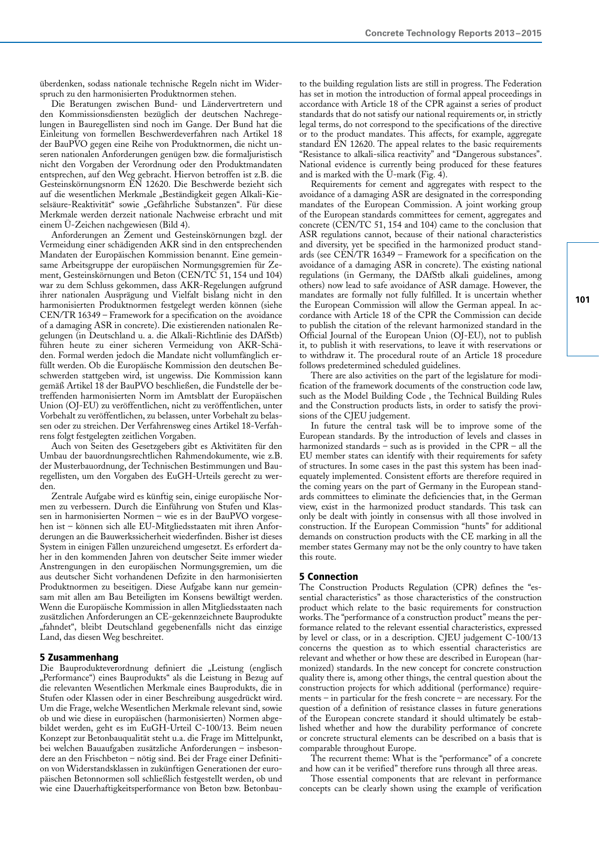überdenken, sodass nationale technische Regeln nicht im Widerspruch zu den harmonisierten Produktnormen stehen.

Die Beratungen zwischen Bund- und Ländervertretern und den Kommissionsdiensten bezüglich der deutschen Nachregelungen in Bauregellisten sind noch im Gange. Der Bund hat die Einleitung von formellen Beschwerdeverfahren nach Artikel 18 der BauPVO gegen eine Reihe von Produktnormen, die nicht unseren nationalen Anforderungen genügen bzw. die formaljuristisch nicht den Vorgaben der Verordnung oder den Produktmandaten entsprechen, auf den Weg gebracht. Hiervon betroffen ist z.B. die Gesteinskörnungsnorm EN 12620. Die Beschwerde bezieht sich auf die wesentlichen Merkmale "Beständigkeit gegen Alkali-Kieselsäure-Reaktivität" sowie "Gefährliche Substanzen". Für diese Merkmale werden derzeit nationale Nachweise erbracht und mit einem Ü-Zeichen nachgewiesen (Bild 4).

Anforderungen an Zement und Gesteinskörnungen bzgl. der Vermeidung einer schädigenden AKR sind in den entsprechenden Mandaten der Europäischen Kommission benannt. Eine gemeinsame Arbeitsgruppe der europäischen Normungsgremien für Zement, Gesteinskörnungen und Beton (CEN/TC 51, 154 und 104) war zu dem Schluss gekommen, dass AKR-Regelungen aufgrund ihrer nationalen Ausprägung und Vielfalt bislang nicht in den harmonisierten Produktnormen festgelegt werden können (siehe CEN/TR 16349 – Framework for a specification on the avoidance of a damaging ASR in concrete). Die existierenden nationalen Regelungen (in Deutschland u. a. die Alkali-Richtlinie des DAfStb) führen heute zu einer sicheren Vermeidung von AKR-Schäden. Formal werden jedoch die Mandate nicht vollumfänglich erfüllt werden. Ob die Europäische Kommission den deutschen Beschwerden stattgeben wird, ist ungewiss. Die Kommission kann gemäß Artikel 18 der BauPVO beschließen, die Fundstelle der betreffenden harmonisierten Norm im Amtsblatt der Europäischen Union (OJ-EU) zu veröffentlichen, nicht zu veröffentlichen, unter Vorbehalt zu veröffentlichen, zu belassen, unter Vorbehalt zu belassen oder zu streichen. Der Verfahrensweg eines Artikel 18-Verfahrens folgt festgelegten zeitlichen Vorgaben.

Auch von Seiten des Gesetzgebers gibt es Aktivitäten für den Umbau der bauordnungsrechtlichen Rahmendokumente, wie z.B. der Musterbauordnung, der Technischen Bestimmungen und Bauregellisten, um den Vorgaben des EuGH-Urteils gerecht zu werden.

Zentrale Aufgabe wird es künftig sein, einige europäische Normen zu verbessern. Durch die Einführung von Stufen und Klassen in harmonisierten Normen – wie es in der BauPVO vorgesehen ist – können sich alle EU-Mitgliedsstaaten mit ihren Anforderungen an die Bauwerkssicherheit wiederfinden. Bisher ist dieses System in einigen Fällen unzureichend umgesetzt. Es erfordert daher in den kommenden Jahren von deutscher Seite immer wieder Anstrengungen in den europäischen Normungsgremien, um die aus deutscher Sicht vorhandenen Defizite in den harmonisierten Produktnormen zu beseitigen. Diese Aufgabe kann nur gemeinsam mit allen am Bau Beteiligten im Konsens bewältigt werden. Wenn die Europäische Kommission in allen Mitgliedsstaaten nach zusätzlichen Anforderungen an CE-gekennzeichnete Bauprodukte "fahndet", bleibt Deutschland gegebenenfalls nicht das einzige Land, das diesen Weg beschreitet.

# 5 Zusammenhang

Die Bauprodukteverordnung definiert die "Leistung (englisch "Performance") eines Bauprodukts" als die Leistung in Bezug auf die relevanten Wesentlichen Merkmale eines Bauprodukts, die in Stufen oder Klassen oder in einer Beschreibung ausgedrückt wird. Um die Frage, welche Wesentlichen Merkmale relevant sind, sowie ob und wie diese in europäischen (harmonisierten) Normen abgebildet werden, geht es im EuGH-Urteil C-100/13. Beim neuen Konzept zur Betonbauqualität steht u.a. die Frage im Mittelpunkt, bei welchen Bauaufgaben zusätzliche Anforderungen – insbesondere an den Frischbeton – nötig sind. Bei der Frage einer Definition von Widerstandsklassen in zukünftigen Generationen der europäischen Betonnormen soll schließlich festgestellt werden, ob und wie eine Dauerhaftigkeitsperformance von Beton bzw. Betonbau-

to the building regulation lists are still in progress. The Federation has set in motion the introduction of formal appeal proceedings in accordance with Article 18 of the CPR against a series of product standards that do not satisfy our national requirements or, in strictly legal terms, do not correspond to the specifications of the directive or to the product mandates. This affects, for example, aggregate standard EN 12620. The appeal relates to the basic requirements "Resistance to alkali-silica reactivity" and "Dangerous substances". National evidence is currently being produced for these features and is marked with the  $\ddot{\text{U}}$ -mark (Fig. 4).

Requirements for cement and aggregates with respect to the avoidance of a damaging ASR are designated in the corresponding mandates of the European Commission. A joint working group of the European standards committees for cement, aggregates and concrete (CEN/TC 51, 154 and 104) came to the conclusion that ASR regulations cannot, because of their national characteristics and diversity, yet be specified in the harmonized product standards (see CEN/TR 16349 – Framework for a specification on the avoidance of a damaging ASR in concrete). The existing national regulations (in Germany, the DAfStb alkali guidelines, among others) now lead to safe avoidance of ASR damage. However, the mandates are formally not fully fulfilled. It is uncertain whether the European Commission will allow the German appeal. In accordance with Article 18 of the CPR the Commission can decide to publish the citation of the relevant harmonized standard in the Official Journal of the European Union (OJ-EU), not to publish it, to publish it with reservations, to leave it with reservations or to withdraw it. The procedural route of an Article 18 procedure follows predetermined scheduled guidelines.

There are also activities on the part of the legislature for modification of the framework documents of the construction code law, such as the Model Building Code , the Technical Building Rules and the Construction products lists, in order to satisfy the provisions of the CJEU judgement.

In future the central task will be to improve some of the European standards. By the introduction of levels and classes in harmonized standards – such as is provided in the CPR – all the EU member states can identify with their requirements for safety of structures. In some cases in the past this system has been inadequately implemented. Consistent efforts are therefore required in the coming years on the part of Germany in the European standards committees to eliminate the deficiencies that, in the German view, exist in the harmonized product standards. This task can only be dealt with jointly in consensus with all those involved in construction. If the European Commission "hunts" for additional demands on construction products with the CE marking in all the member states Germany may not be the only country to have taken this route.

# 5 Connection

The Construction Products Regulation (CPR) defines the "essential characteristics" as those characteristics of the construction product which relate to the basic requirements for construction works. The "performance of a construction product" means the performance related to the relevant essential characteristics, expressed by level or class, or in a description. CJEU judgement C-100/13 concerns the question as to which essential characteristics are relevant and whether or how these are described in European (harmonized) standards. In the new concept for concrete construction quality there is, among other things, the central question about the construction projects for which additional (performance) requirements – in particular for the fresh concrete – are necessary. For the question of a definition of resistance classes in future generations of the European concrete standard it should ultimately be established whether and how the durability performance of concrete or concrete structural elements can be described on a basis that is comparable throughout Europe.

The recurrent theme: What is the "performance" of a concrete and how can it be verified" therefore runs through all three areas.

Those essential components that are relevant in performance concepts can be clearly shown using the example of verification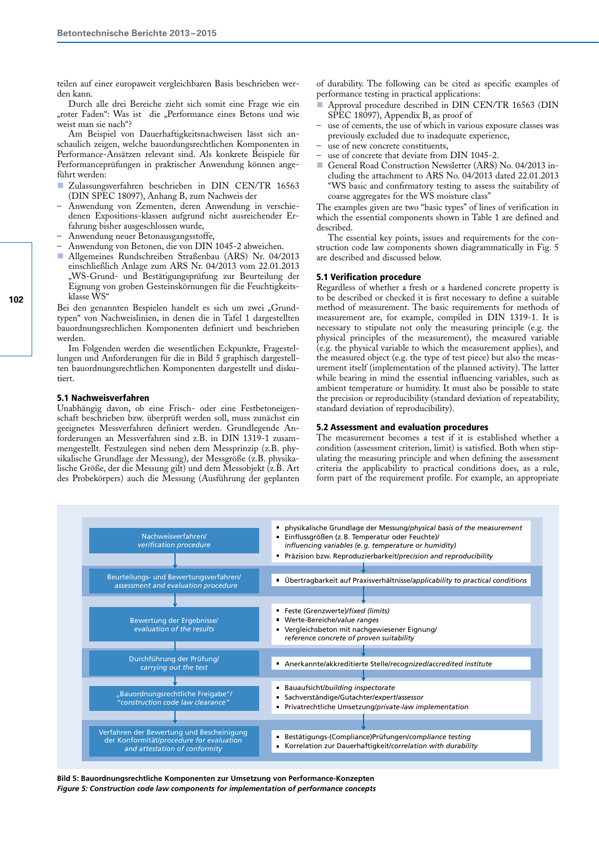teilen auf einer europaweit vergleichbaren Basis beschrieben werden kann.

Durch alle drei Bereiche zieht sich somit eine Frage wie ein "roter Faden": Was ist die "Performance eines Betons und wie weist man sie nach"?

Am Beispiel von Dauerhaftigkeitsnachweisen lässt sich anschaulich zeigen, welche bauordungsrechtlichen Komponenten in Performance-Ansätzen relevant sind. Als konkrete Beispiele für Performanceprüfungen in praktischer Anwendung können angeführt werden:

- Zulassungsverfahren beschrieben in DIN CEN/TR 16563 (DIN SPEC 18097), Anhang B, zum Nachweis der
- Anwendung von Zementen, deren Anwendung in verschiedenen Expositions-klassen aufgrund nicht ausreichender Erfahrung bisher ausgeschlossen wurde,
- Anwendung neuer Betonausgangsstoffe,
- Anwendung von Betonen, die von DIN 1045-2 abweichen.
- Allgemeines Rundschreiben Straßenbau (ARS) Nr. 04/2013 einschließlich Anlage zum ARS Nr. 04/2013 vom 22.01.2013 "WS-Grund- und Bestätigungsprüfung zur Beurteilung der Eignung von groben Gesteinskörnungen für die Feuchtigkeitsklasse WS"

Bei den genannten Bespielen handelt es sich um zwei "Grundtypen" von Nachweislinien, in denen die in Tafel 1 dargestellten bauordnungsrechlichen Komponenten definiert und beschrieben werden.

Im Folgenden werden die wesentlichen Eckpunkte, Fragestellungen und Anforderungen für die in Bild 5 graphisch dargestellten bauordnungsrechtlichen Komponenten dargestellt und diskutiert.

#### 5.1 Nachweisverfahren

Unabhängig davon, ob eine Frisch- oder eine Festbetoneigenschaft beschrieben bzw. überprüft werden soll, muss zunächst ein geeignetes Messverfahren definiert werden. Grundlegende Anforderungen an Messverfahren sind z.B. in DIN 1319-1 zusammengestellt. Festzulegen sind neben dem Messprinzip (z.B. physikalische Grundlage der Messung), der Messgröße (z.B. physikalische Größe, der die Messung gilt) und dem Messobjekt (z.B. Art des Probekörpers) auch die Messung (Ausführung der geplanten

of durability. The following can be cited as specific examples of performance testing in practical applications:

- Approval procedure described in DIN CEN/TR 16563 (DIN SPEC 18097), Appendix B, as proof of
- use of cements, the use of which in various exposure classes was previously excluded due to inadequate experience,
- use of new concrete constituents,
- use of concrete that deviate from DIN 1045-2.
- General Road Construction Newsletter (ARS) No. 04/2013 including the attachment to ARS No. 04/2013 dated 22.01.2013 "WS basic and confirmatory testing to assess the suitability of coarse aggregates for the WS moisture class"

The examples given are two "basic types" of lines of verification in which the essential components shown in Table 1 are defined and described.

The essential key points, issues and requirements for the construction code law components shown diagrammatically in Fig. 5 are described and discussed below.

#### 5.1 Verification procedure

Regardless of whether a fresh or a hardened concrete property is to be described or checked it is first necessary to define a suitable method of measurement. The basic requirements for methods of measurement are, for example, compiled in DIN 1319-1. It is necessary to stipulate not only the measuring principle (e.g. the physical principles of the measurement), the measured variable (e.g. the physical variable to which the measurement applies), and the measured object (e.g. the type of test piece) but also the measurement itself (implementation of the planned activity). The latter while bearing in mind the essential influencing variables, such as ambient temperature or humidity. It must also be possible to state the precision or reproducibility (standard deviation of repeatability, standard deviation of reproducibility).

#### 5.2 Assessment and evaluation procedures

The measurement becomes a test if it is established whether a condition (assessment criterion, limit) is satisfied. Both when stipulating the measuring principle and when defining the assessment criteria the applicability to practical conditions does, as a rule, form part of the requirement profile. For example, an appropriate



**Bild 5: Bauordnungsrechtliche Komponenten zur Umsetzung von Performance-Konzepten** *Figure 5: Construction code law components for implementation of performance concepts*

**102**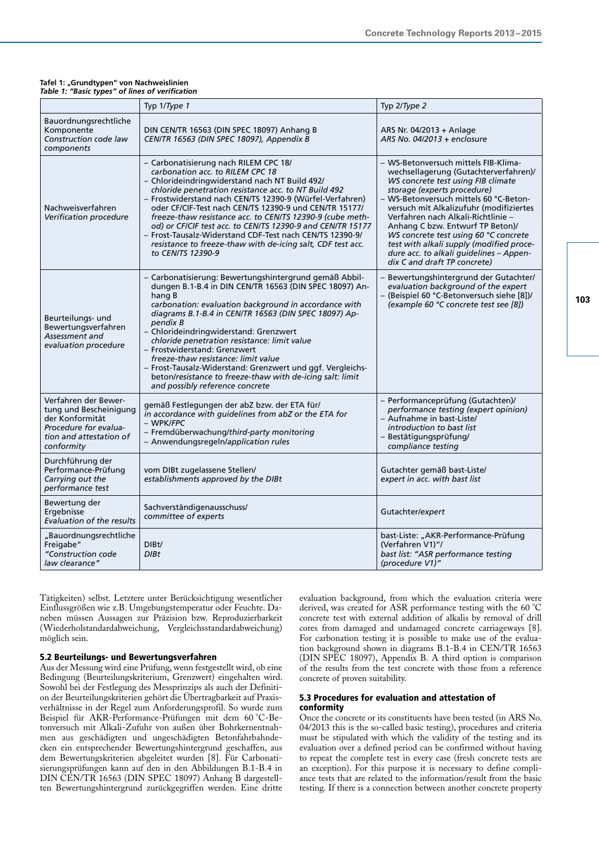#### **Tafel 1: "Grundtypen" von Nachweislinien** *Table 1: "Basic types" of lines of verification*

|                                                                                                                                     | Typ 1/Type 1                                                                                                                                                                                                                                                                                                                                                                                                                                                                                                                                                                             | Typ 2/Type 2                                                                                                                                                                                                                                                                                                                                                                                                                                                                      |  |
|-------------------------------------------------------------------------------------------------------------------------------------|------------------------------------------------------------------------------------------------------------------------------------------------------------------------------------------------------------------------------------------------------------------------------------------------------------------------------------------------------------------------------------------------------------------------------------------------------------------------------------------------------------------------------------------------------------------------------------------|-----------------------------------------------------------------------------------------------------------------------------------------------------------------------------------------------------------------------------------------------------------------------------------------------------------------------------------------------------------------------------------------------------------------------------------------------------------------------------------|--|
| Bauordnungsrechtliche<br>Komponente<br>Construction code law<br>components                                                          | DIN CEN/TR 16563 (DIN SPEC 18097) Anhang B<br>CEN/TR 16563 (DIN SPEC 18097), Appendix B                                                                                                                                                                                                                                                                                                                                                                                                                                                                                                  | ARS Nr. 04/2013 + Anlage<br>ARS No. 04/2013 + enclosure                                                                                                                                                                                                                                                                                                                                                                                                                           |  |
| Nachweisverfahren<br>Verification procedure                                                                                         | - Carbonatisierung nach RILEM CPC 18/<br>carbonation acc. to RILEM CPC 18<br>- Chlorideindringwiderstand nach NT Build 492/<br>chloride penetration resistance acc. to NT Build 492<br>- Frostwiderstand nach CEN/TS 12390-9 (Würfel-Verfahren)<br>oder CF/CIF-Test nach CEN/TS 12390-9 und CEN/TR 15177/<br>freeze-thaw resistance acc. to CEN/TS 12390-9 (cube meth-<br>od) or CF/CIF test acc. to CEN/TS 12390-9 and CEN/TR 15177<br>- Frost-Tausalz-Widerstand CDF-Test nach CEN/TS 12390-9/<br>resistance to freeze-thaw with de-icing salt, CDF test acc.<br>to CEN/TS 12390-9     | - WS-Betonversuch mittels FIB-Klima-<br>wechsellagerung (Gutachterverfahren)/<br>WS concrete test using FIB climate<br>storage (experts procedure)<br>- WS-Betonversuch mittels 60 °C-Beton-<br>versuch mit Alkalizufuhr (modifiziertes<br>Verfahren nach Alkali-Richtlinie -<br>Anhang C bzw. Entwurf TP Beton)/<br>WS concrete test using 60 °C concrete<br>test with alkali supply (modified proce-<br>dure acc. to alkali guidelines - Appen-<br>dix C and draft TP concrete) |  |
| Beurteilungs- und<br>Bewertungsverfahren<br>Assessment and<br>evaluation procedure                                                  | - Carbonatisierung: Bewertungshintergrund gemäß Abbil-<br>dungen B.1-B.4 in DIN CEN/TR 16563 (DIN SPEC 18097) An-<br>hang B<br>carbonation: evaluation background in accordance with<br>diagrams B.1-B.4 in CEN/TR 16563 (DIN SPEC 18097) Ap-<br>pendix B<br>- Chlorideindringwiderstand: Grenzwert<br>chloride penetration resistance: limit value<br>- Frostwiderstand: Grenzwert<br>freeze-thaw resistance: limit value<br>- Frost-Tausalz-Widerstand: Grenzwert und ggf. Vergleichs-<br>beton/resistance to freeze-thaw with de-icing salt: limit<br>and possibly reference concrete | - Bewertungshintergrund der Gutachter/<br>evaluation background of the expert<br>- (Beispiel 60 °C-Betonversuch siehe [8])/<br>(example 60 °C concrete test see [8])                                                                                                                                                                                                                                                                                                              |  |
| Verfahren der Bewer-<br>tung und Bescheinigung<br>der Konformität<br>Procedure for evalua-<br>tion and attestation of<br>conformity | gemäß Festlegungen der abZ bzw. der ETA für/<br>in accordance with guidelines from abZ or the ETA for<br>- WPK/FPC<br>- Fremdüberwachung/third-party monitoring<br>- Anwendungsregeln/application rules                                                                                                                                                                                                                                                                                                                                                                                  | - Performanceprüfung (Gutachten)/<br>performance testing (expert opinion)<br>- Aufnahme in bast-Liste/<br>introduction to bast list<br>- Bestätigungsprüfung/<br>compliance testing                                                                                                                                                                                                                                                                                               |  |
| Durchführung der<br>Performance-Prüfung<br>Carrying out the<br>performance test                                                     | vom DIBt zugelassene Stellen/<br>establishments approved by the DIBt                                                                                                                                                                                                                                                                                                                                                                                                                                                                                                                     | Gutachter gemäß bast-Liste/<br>expert in acc. with bast list                                                                                                                                                                                                                                                                                                                                                                                                                      |  |
| Bewertung der<br>Ergebnisse<br>Evaluation of the results                                                                            | Sachverständigenausschuss/<br>committee of experts                                                                                                                                                                                                                                                                                                                                                                                                                                                                                                                                       | Gutachter/expert                                                                                                                                                                                                                                                                                                                                                                                                                                                                  |  |
| "Bauordnungsrechtliche<br>Freigabe"<br>"Construction code<br>law clearance"                                                         | DIB <sub>t</sub> /<br>DIBt                                                                                                                                                                                                                                                                                                                                                                                                                                                                                                                                                               | bast-Liste: "AKR-Performance-Prüfung<br>(Verfahren V1)"/<br>bast list: "ASR performance testing<br>(procedure V1)"                                                                                                                                                                                                                                                                                                                                                                |  |

Tätigkeiten) selbst. Letztere unter Berücksichtigung wesentlicher Einflussgrößen wie z.B. Umgebungstemperatur oder Feuchte. Daneben müssen Aussagen zur Präzision bzw. Reproduzierbarkeit (Wiederholstandardabweichung, Vergleichsstandardabweichung) möglich sein.

#### 5.2 Beurteilungs- und Bewertungsverfahren

Aus der Messung wird eine Prüfung, wenn festgestellt wird, ob eine Bedingung (Beurteilungskriterium, Grenzwert) eingehalten wird. Sowohl bei der Festlegung des Messprinzips als auch der Definition der Beurteilungskriterien gehört die Übertragbarkeit auf Praxisverhältnisse in der Regel zum Anforderungsprofil. So wurde zum Beispiel für AKR-Performance-Prüfungen mit dem 60 °C-Betonversuch mit Alkali-Zufuhr von außen über Bohrkernentnahmen aus geschädigten und ungeschädigten Betonfahrbahndecken ein entsprechender Bewertungshintergrund geschaffen, aus dem Bewertungskriterien abgeleitet wurden [8]. Für Carbonatisierungsprüfungen kann auf den in den Abbildungen B.1-B.4 in DIN CEN/TR 16563 (DIN SPEC 18097) Anhang B dargestellten Bewertungshintergrund zurückgegriffen werden. Eine dritte

evaluation background, from which the evaluation criteria were derived, was created for ASR performance testing with the 60 °C concrete test with external addition of alkalis by removal of drill cores from damaged and undamaged concrete carriageways [8]. For carbonation testing it is possible to make use of the evaluation background shown in diagrams B.1-B.4 in CEN/TR 16563 (DIN SPEC 18097), Appendix B. A third option is comparison of the results from the test concrete with those from a reference concrete of proven suitability.

# 5.3 Procedures for evaluation and attestation of conformity

Once the concrete or its constituents have been tested (in ARS No. 04/2013 this is the so-called basic testing), procedures and criteria must be stipulated with which the validity of the testing and its evaluation over a defined period can be confirmed without having to repeat the complete test in every case (fresh concrete tests are an exception). For this purpose it is necessary to define compliance tests that are related to the information/result from the basic testing. If there is a connection between another concrete property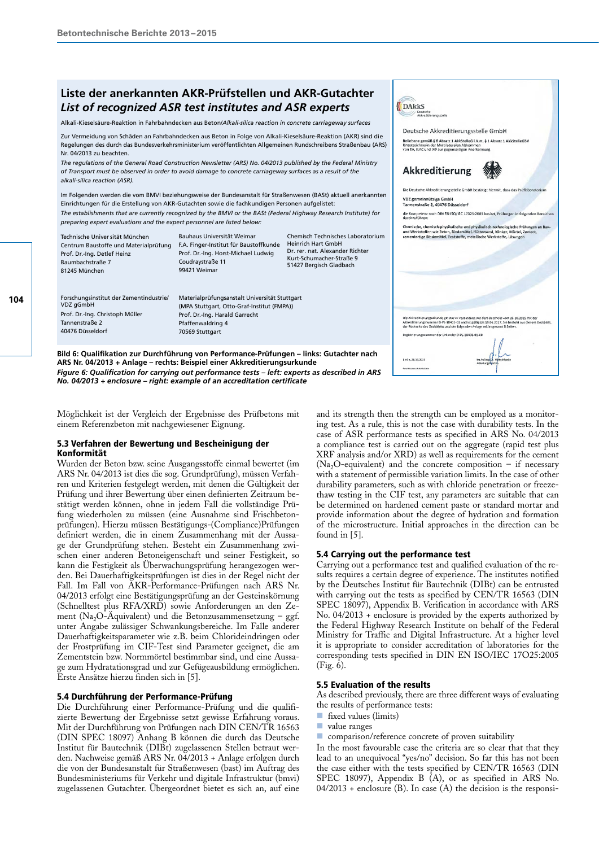# *List of recognized ASR test institutes and ASR experts* **Liste der anerkannten AKR-Prüfstellen und AKR-Gutachter**

Alkali-Kieselsäure-Reaktion in Fahrbahndecken aus Beton/*Alkali-silica reaction in concrete carriageway surfaces*

Zur Vermeidung von Schäden an Fahrbahndecken aus Beton in Folge von Alkali-Kieselsäure-Reaktion (AKR) sind die Regelungen des durch das Bundesverkehrsministerium veröffentlichten Allgemeinen Rundschreibens Straßenbau (ARS) Nr. 04/2013 zu beachten.

*The regulations of the General Road Construction Newsletter (ARS) No. 04/2013 published by the Federal Ministry of Transport must be observed in order to avoid damage to concrete carriageway surfaces as a result of the alkali-silica reaction (ASR).*

Im Folgenden werden die vom BMVI beziehungsweise der Bundesanstalt für Straßenwesen (BASt) aktuell anerkannten Einrichtungen für die Erstellung von AKR-Gutachten sowie die fachkundigen Personen aufgelistet: *The establishments that are currently recognized by the BMVI or the BASt (Federal Highway Research Institute) for preparing expert evaluations and the expert personnel are listed below:*

| Technische Univer sität München<br>Centrum Baustoffe und Materialprüfung<br>Prof. Dr.-Ing. Detlef Heinz<br>Baumbachstraße 7<br>81245 München | Bauhaus Universität Weimar<br>F.A. Finger-Institut für Baustoffkunde<br>Prof. Dr.-Ing. Horst-Michael Ludwig<br>Coudraystraße 11<br>99421 Weimar                       | Chemisch Technisches Laboratorium<br><b>Heinrich Hart GmbH</b><br>Dr. rer. nat. Alexander Richter<br>Kurt-Schumacher-Straße 9<br>51427 Bergisch Gladbach | Chemische, chemisch-physikalische und physikalisch-technologische Prüfungen an Bau-<br>und Werkstoffen wie Beton, Bindemittel, Hüttensand, Klinker, Mörtel, Zement,<br>zementartige Bindemittel, Feststoffe, metallische Werkstoffe, Lösungen                                                                                           |
|----------------------------------------------------------------------------------------------------------------------------------------------|-----------------------------------------------------------------------------------------------------------------------------------------------------------------------|----------------------------------------------------------------------------------------------------------------------------------------------------------|-----------------------------------------------------------------------------------------------------------------------------------------------------------------------------------------------------------------------------------------------------------------------------------------------------------------------------------------|
| Forschungsinstitut der Zementindustrie/<br>VDZ gGmbH<br>Prof. Dr.-Ing. Christoph Müller<br>Tannenstraße 2<br>40476 Düsseldorf                | Materialprüfungsanstalt Universität Stuttgart<br>(MPA Stuttgart, Otto-Graf-Institut (FMPA))<br>Prof. Dr.-Ing. Harald Garrecht<br>Pfaffenwaldring 4<br>70569 Stuttgart |                                                                                                                                                          | Die Akkreditierungsurkunde gilt nur in Verbindung mit dem Bescheid vom 26.10.2015 mit der<br>Akkreditierungsnummer D-PL-18403-01 und ist gültig bis 18.06.2017. Sie besteht aus diesem Deckblatt<br>der Rückseite des Deckblatts und der folgenden Anlage mit insgesamt 8 Seiten.<br>Registrierungsnummer der Urkunde: D-PL-18403-01-00 |

**Bild 6: Qualifikation zur Durchführung von Performance-Prüfungen – links: Gutachter nach ARS Nr. 04/2013 + Anlage – rechts: Beispiel einer Akkreditierungsurkunde** *Figure 6: Qualification for carrying out performance tests – left: experts as described in ARS No. 04/2013 + enclosure – right: example of an accreditation certificate*

Möglichkeit ist der Vergleich der Ergebnisse des Prüfbetons mit einem Referenzbeton mit nachgewiesener Eignung.

# 5.3 Verfahren der Bewertung und Bescheinigung der Konformität

Wurden der Beton bzw. seine Ausgangsstoffe einmal bewertet (im ARS Nr. 04/2013 ist dies die sog. Grundprüfung), müssen Verfahren und Kriterien festgelegt werden, mit denen die Gültigkeit der Prüfung und ihrer Bewertung über einen definierten Zeitraum bestätigt werden können, ohne in jedem Fall die vollständige Prüfung wiederholen zu müssen (eine Ausnahme sind Frischbetonprüfungen). Hierzu müssen Bestätigungs-(Compliance)Prüfungen definiert werden, die in einem Zusammenhang mit der Aussage der Grundprüfung stehen. Besteht ein Zusammenhang zwischen einer anderen Betoneigenschaft und seiner Festigkeit, so kann die Festigkeit als Überwachungsprüfung herangezogen werden. Bei Dauerhaftigkeitsprüfungen ist dies in der Regel nicht der Fall. Im Fall von AKR-Performance-Prüfungen nach ARS Nr. 04/2013 erfolgt eine Bestätigungsprüfung an der Gesteinskörnung (Schnelltest plus RFA/XRD) sowie Anforderungen an den Zement (Na<sub>2</sub>O-Aquivalent) und die Betonzusammensetzung – ggf. unter Angabe zulässiger Schwankungsbereiche. Im Falle anderer Dauerhaftigkeitsparameter wie z.B. beim Chlorideindringen oder der Frostprüfung im CIF-Test sind Parameter geeignet, die am Zementstein bzw. Normmörtel bestimmbar sind, und eine Aussage zum Hydratationsgrad und zur Gefügeausbildung ermöglichen. Erste Ansätze hierzu finden sich in [5].

# 5.4 Durchführung der Performance-Prüfung

Die Durchführung einer Performance-Prüfung und die qualifizierte Bewertung der Ergebnisse setzt gewisse Erfahrung voraus. Mit der Durchführung von Prüfungen nach DIN CEN/TR 16563 (DIN SPEC 18097) Anhang B können die durch das Deutsche Institut für Bautechnik (DIBt) zugelassenen Stellen betraut werden. Nachweise gemäß ARS Nr. 04/2013 + Anlage erfolgen durch die von der Bundesanstalt für Straßenwesen (bast) im Auftrag des Bundesministeriums für Verkehr und digitale Infrastruktur (bmvi) zugelassenen Gutachter. Übergeordnet bietet es sich an, auf eine

and its strength then the strength can be employed as a monitoring test. As a rule, this is not the case with durability tests. In the case of ASR performance tests as specified in ARS No. 04/2013 a compliance test is carried out on the aggregate (rapid test plus XRF analysis and/or XRD) as well as requirements for the cement (Na<sub>2</sub>O-equivalent) and the concrete composition – if necessary with a statement of permissible variation limits. In the case of other durability parameters, such as with chloride penetration or freezethaw testing in the CIF test, any parameters are suitable that can be determined on hardened cement paste or standard mortar and provide information about the degree of hydration and formation of the microstructure. Initial approaches in the direction can be found in [5].

Berlin, 26.10.2015

**DAKKS** 

Deutsche Akkreditierungsstelle GmbH Deutsche AKKreutlerungsstehe Urt<br>Beliehene gemäß § 8 Absatz 1 AkkStelleG i.V.m. § 1 Absatz<br>Unterzeichnerin der Multilateralen Abkommen<br>Von EA, ILAC und IAF zur gegenseitigen Anerkennung

Die Deutsche Akkreditierungsstelle GmbH bestätigt hiermit, dass das Prüflaboratorium

**Akkreditierung** 

VDZ gemeinnützige GmbH<br>Tannenstraße 2, 40476 Düsseldorf

# 5.4 Carrying out the performance test

Carrying out a performance test and qualified evaluation of the results requires a certain degree of experience. The institutes notified by the Deutsches Institut für Bautechnik (DIBt) can be entrusted with carrying out the tests as specified by CEN/TR 16563 (DIN SPEC 18097), Appendix B. Verification in accordance with ARS No. 04/2013 + enclosure is provided by the experts authorized by the Federal Highway Research Institute on behalf of the Federal Ministry for Traffic and Digital Infrastructure. At a higher level it is appropriate to consider accreditation of laboratories for the corresponding tests specified in DIN EN ISO/IEC 17O25:2005 (Fig. 6).

#### 5.5 Evaluation of the results

As described previously, there are three different ways of evaluating the results of performance tests:

- fixed values (limits)
- value ranges
- $\blacksquare$  comparison/reference concrete of proven suitability

In the most favourable case the criteria are so clear that that they lead to an unequivocal "yes/no" decision. So far this has not been the case either with the tests specified by CEN/TR 16563 (DIN SPEC 18097), Appendix B (A), or as specified in ARS No.  $04/2013$  + enclosure (B). In case (A) the decision is the responsi-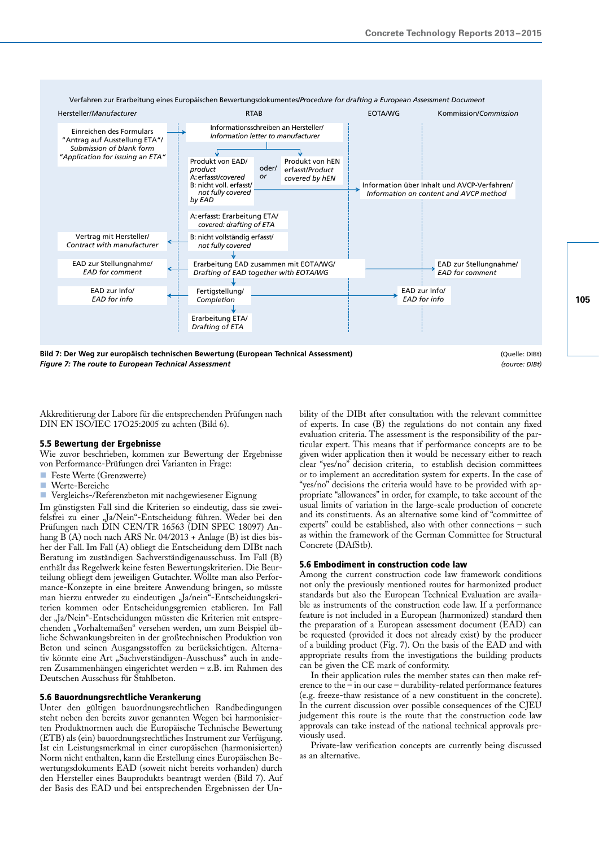

**Bild 7: Der Weg zur europäisch technischen Bewertung (European Technical Assessment)** (Quelle: DIBt) *Figure 7: The route to European Technical Assessment (source: DIBt)*

Akkreditierung der Labore für die entsprechenden Prüfungen nach DIN EN ISO/IEC 17O25:2005 zu achten (Bild 6).

#### 5.5 Bewertung der Ergebnisse

Wie zuvor beschrieben, kommen zur Bewertung der Ergebnisse von Performance-Prüfungen drei Varianten in Frage:

- Feste Werte (Grenzwerte)
- Werte-Bereiche
- Vergleichs-/Referenzbeton mit nachgewiesener Eignung

Im günstigsten Fall sind die Kriterien so eindeutig, dass sie zweifelsfrei zu einer "Ja/Nein"-Entscheidung führen. Weder bei den Prüfungen nach DIN CEN/TR 16563 (DIN SPEC 18097) Anhang  $\widetilde{B}(A)$  noch nach ARS Nr. 04/2013 + Anlage (B) ist dies bisher der Fall. Im Fall (A) obliegt die Entscheidung dem DIBt nach Beratung im zuständigen Sachverständigenausschuss. Im Fall (B) enthält das Regelwerk keine festen Bewertungskriterien. Die Beurteilung obliegt dem jeweiligen Gutachter. Wollte man also Performance-Konzepte in eine breitere Anwendung bringen, so müsste man hierzu entweder zu eindeutigen "Ja/nein"-Entscheidungskriterien kommen oder Entscheidungsgremien etablieren. Im Fall der "Ja/Nein"-Entscheidungen müssten die Kriterien mit entsprechenden "Vorhaltemaßen" versehen werden, um zum Beispiel übliche Schwankungsbreiten in der großtechnischen Produktion von Beton und seinen Ausgangsstoffen zu berücksichtigen. Alternativ könnte eine Art "Sachverständigen-Ausschuss" auch in anderen Zusammenhängen eingerichtet werden – z.B. im Rahmen des Deutschen Ausschuss für Stahlbeton.

# 5.6 Bauordnungsrechtliche Verankerung

Unter den gültigen bauordnungsrechtlichen Randbedingungen steht neben den bereits zuvor genannten Wegen bei harmonisierten Produktnormen auch die Europäische Technische Bewertung (ETB) als (ein) bauordnungsrechtliches Instrument zur Verfügung. Ist ein Leistungsmerkmal in einer europäischen (harmonisierten) Norm nicht enthalten, kann die Erstellung eines Europäischen Bewertungsdokuments EAD (soweit nicht bereits vorhanden) durch den Hersteller eines Bauprodukts beantragt werden (Bild 7). Auf der Basis des EAD und bei entsprechenden Ergebnissen der Unbility of the DIBt after consultation with the relevant committee of experts. In case (B) the regulations do not contain any fixed evaluation criteria. The assessment is the responsibility of the particular expert. This means that if performance concepts are to be given wider application then it would be necessary either to reach clear "yes/no" decision criteria, to establish decision committees or to implement an accreditation system for experts. In the case of "yes/no" decisions the criteria would have to be provided with appropriate "allowances" in order, for example, to take account of the usual limits of variation in the large-scale production of concrete and its constituents. As an alternative some kind of "committee of experts" could be established, also with other connections – such as within the framework of the German Committee for Structural Concrete (DAfStb).

# 5.6 Embodiment in construction code law

Among the current construction code law framework conditions not only the previously mentioned routes for harmonized product standards but also the European Technical Evaluation are available as instruments of the construction code law. If a performance feature is not included in a European (harmonized) standard then the preparation of a European assessment document (EAD) can be requested (provided it does not already exist) by the producer of a building product (Fig. 7). On the basis of the EAD and with appropriate results from the investigations the building products can be given the CE mark of conformity.

In their application rules the member states can then make reference to the – in our case – durability-related performance features (e.g. freeze-thaw resistance of a new constituent in the concrete). In the current discussion over possible consequences of the CJEU judgement this route is the route that the construction code law approvals can take instead of the national technical approvals previously used.

Private-law verification concepts are currently being discussed as an alternative.